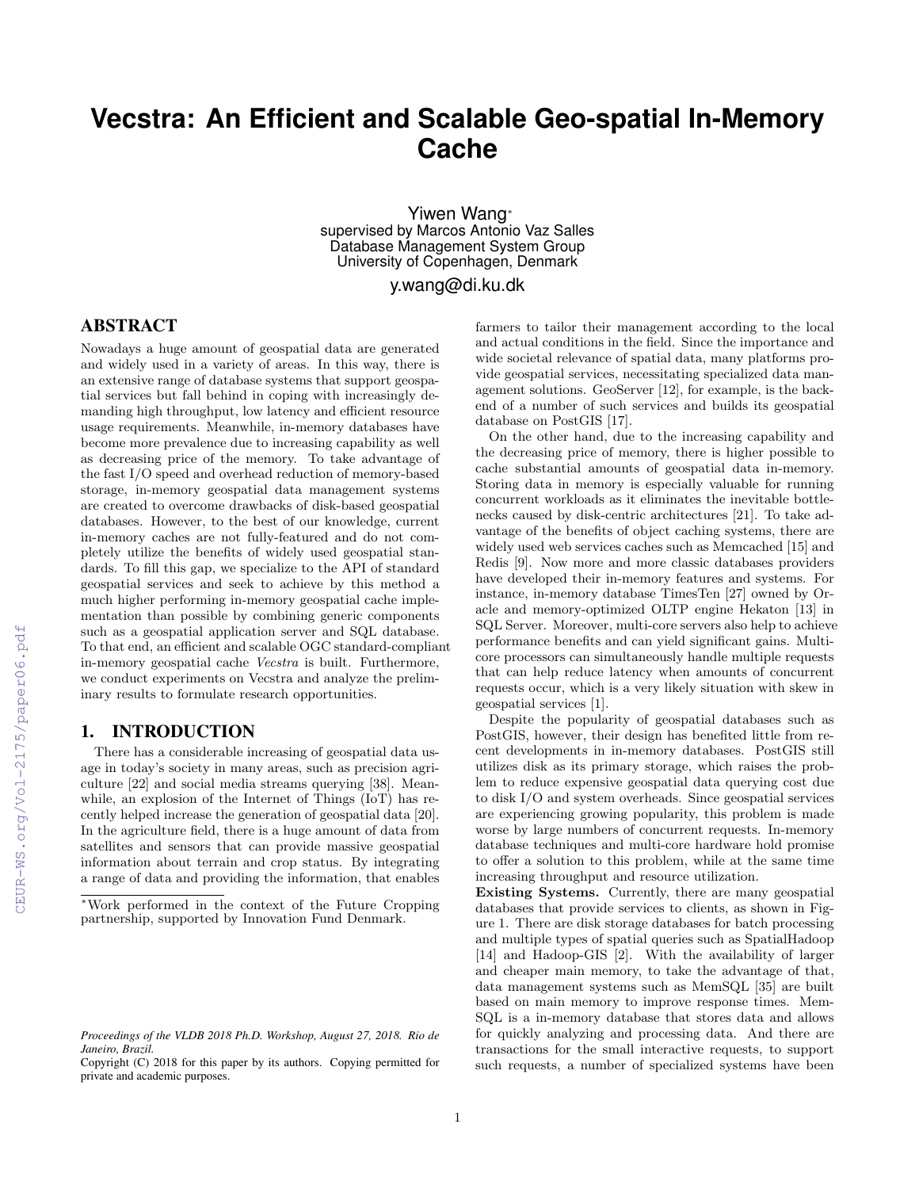# **Vecstra: An Efficient and Scalable Geo-spatial In-Memory Cache**

Yiwen Wang<sup>∗</sup> supervised by Marcos Antonio Vaz Salles Database Management System Group University of Copenhagen, Denmark

y.wang@di.ku.dk

# ABSTRACT

Nowadays a huge amount of geospatial data are generated and widely used in a variety of areas. In this way, there is an extensive range of database systems that support geospatial services but fall behind in coping with increasingly demanding high throughput, low latency and efficient resource usage requirements. Meanwhile, in-memory databases have become more prevalence due to increasing capability as well as decreasing price of the memory. To take advantage of the fast I/O speed and overhead reduction of memory-based storage, in-memory geospatial data management systems are created to overcome drawbacks of disk-based geospatial databases. However, to the best of our knowledge, current in-memory caches are not fully-featured and do not completely utilize the benefits of widely used geospatial standards. To fill this gap, we specialize to the API of standard geospatial services and seek to achieve by this method a much higher performing in-memory geospatial cache implementation than possible by combining generic components such as a geospatial application server and SQL database. To that end, an efficient and scalable OGC standard-compliant in-memory geospatial cache Vecstra is built. Furthermore, we conduct experiments on Vecstra and analyze the preliminary results to formulate research opportunities.

#### 1. INTRODUCTION

There has a considerable increasing of geospatial data usage in today's society in many areas, such as precision agriculture [22] and social media streams querying [38]. Meanwhile, an explosion of the Internet of Things (IoT) has recently helped increase the generation of geospatial data [20]. In the agriculture field, there is a huge amount of data from satellites and sensors that can provide massive geospatial information about terrain and crop status. By integrating a range of data and providing the information, that enables farmers to tailor their management according to the local and actual conditions in the field. Since the importance and wide societal relevance of spatial data, many platforms provide geospatial services, necessitating specialized data management solutions. GeoServer [12], for example, is the backend of a number of such services and builds its geospatial database on PostGIS [17].

On the other hand, due to the increasing capability and the decreasing price of memory, there is higher possible to cache substantial amounts of geospatial data in-memory. Storing data in memory is especially valuable for running concurrent workloads as it eliminates the inevitable bottlenecks caused by disk-centric architectures [21]. To take advantage of the benefits of object caching systems, there are widely used web services caches such as Memcached [15] and Redis [9]. Now more and more classic databases providers have developed their in-memory features and systems. For instance, in-memory database TimesTen [27] owned by Oracle and memory-optimized OLTP engine Hekaton [13] in SQL Server. Moreover, multi-core servers also help to achieve performance benefits and can yield significant gains. Multicore processors can simultaneously handle multiple requests that can help reduce latency when amounts of concurrent requests occur, which is a very likely situation with skew in geospatial services [1].

Despite the popularity of geospatial databases such as PostGIS, however, their design has benefited little from recent developments in in-memory databases. PostGIS still utilizes disk as its primary storage, which raises the problem to reduce expensive geospatial data querying cost due to disk I/O and system overheads. Since geospatial services are experiencing growing popularity, this problem is made worse by large numbers of concurrent requests. In-memory database techniques and multi-core hardware hold promise to offer a solution to this problem, while at the same time increasing throughput and resource utilization.

Existing Systems. Currently, there are many geospatial databases that provide services to clients, as shown in Figure 1. There are disk storage databases for batch processing and multiple types of spatial queries such as SpatialHadoop [14] and Hadoop-GIS [2]. With the availability of larger and cheaper main memory, to take the advantage of that, data management systems such as MemSQL [35] are built based on main memory to improve response times. Mem-SQL is a in-memory database that stores data and allows for quickly analyzing and processing data. And there are transactions for the small interactive requests, to support such requests, a number of specialized systems have been

<sup>∗</sup>Work performed in the context of the Future Cropping partnership, supported by Innovation Fund Denmark.

*Proceedings of the VLDB 2018 Ph.D. Workshop, August 27, 2018. Rio de Janeiro, Brazil.*

Copyright (C) 2018 for this paper by its authors. Copying permitted for private and academic purposes.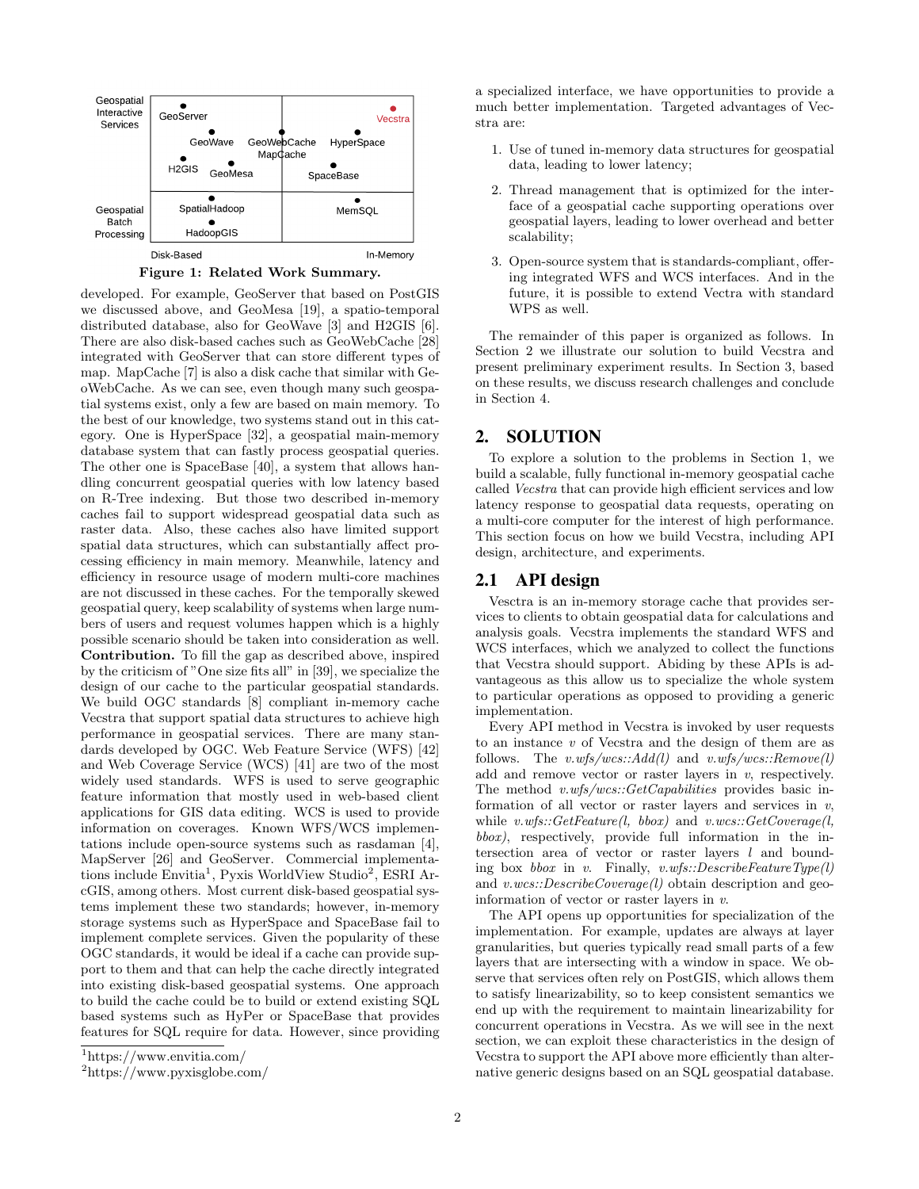



developed. For example, GeoServer that based on PostGIS we discussed above, and GeoMesa [19], a spatio-temporal distributed database, also for GeoWave [3] and H2GIS [6]. There are also disk-based caches such as GeoWebCache [28] integrated with GeoServer that can store different types of map. MapCache [7] is also a disk cache that similar with GeoWebCache. As we can see, even though many such geospatial systems exist, only a few are based on main memory. To the best of our knowledge, two systems stand out in this category. One is HyperSpace [32], a geospatial main-memory database system that can fastly process geospatial queries. The other one is SpaceBase [40], a system that allows handling concurrent geospatial queries with low latency based on R-Tree indexing. But those two described in-memory caches fail to support widespread geospatial data such as raster data. Also, these caches also have limited support spatial data structures, which can substantially affect processing efficiency in main memory. Meanwhile, latency and efficiency in resource usage of modern multi-core machines are not discussed in these caches. For the temporally skewed geospatial query, keep scalability of systems when large numbers of users and request volumes happen which is a highly possible scenario should be taken into consideration as well. Contribution. To fill the gap as described above, inspired by the criticism of "One size fits all" in [39], we specialize the design of our cache to the particular geospatial standards. We build OGC standards [8] compliant in-memory cache Vecstra that support spatial data structures to achieve high performance in geospatial services. There are many standards developed by OGC. Web Feature Service (WFS) [42] and Web Coverage Service (WCS) [41] are two of the most widely used standards. WFS is used to serve geographic feature information that mostly used in web-based client applications for GIS data editing. WCS is used to provide information on coverages. Known WFS/WCS implementations include open-source systems such as rasdaman [4], MapServer [26] and GeoServer. Commercial implementations include Envitia<sup>1</sup>, Pyxis WorldView Studio<sup>2</sup>, ESRI ArcGIS, among others. Most current disk-based geospatial systems implement these two standards; however, in-memory storage systems such as HyperSpace and SpaceBase fail to implement complete services. Given the popularity of these OGC standards, it would be ideal if a cache can provide support to them and that can help the cache directly integrated into existing disk-based geospatial systems. One approach to build the cache could be to build or extend existing SQL based systems such as HyPer or SpaceBase that provides features for SQL require for data. However, since providing a specialized interface, we have opportunities to provide a much better implementation. Targeted advantages of Vecstra are:

- 1. Use of tuned in-memory data structures for geospatial data, leading to lower latency;
- 2. Thread management that is optimized for the interface of a geospatial cache supporting operations over geospatial layers, leading to lower overhead and better scalability;
- 3. Open-source system that is standards-compliant, offering integrated WFS and WCS interfaces. And in the future, it is possible to extend Vectra with standard WPS as well.

The remainder of this paper is organized as follows. In Section 2 we illustrate our solution to build Vecstra and present preliminary experiment results. In Section 3, based on these results, we discuss research challenges and conclude in Section 4.

## 2. SOLUTION

To explore a solution to the problems in Section 1, we build a scalable, fully functional in-memory geospatial cache called Vecstra that can provide high efficient services and low latency response to geospatial data requests, operating on a multi-core computer for the interest of high performance. This section focus on how we build Vecstra, including API design, architecture, and experiments.

### 2.1 API design

Vesctra is an in-memory storage cache that provides services to clients to obtain geospatial data for calculations and analysis goals. Vecstra implements the standard WFS and WCS interfaces, which we analyzed to collect the functions that Vecstra should support. Abiding by these APIs is advantageous as this allow us to specialize the whole system to particular operations as opposed to providing a generic implementation.

Every API method in Vecstra is invoked by user requests to an instance v of Vecstra and the design of them are as follows. The  $v.wfs/wcs::Add(l)$  and  $v.wfs/wcs::Remove(l)$ add and remove vector or raster layers in  $v$ , respectively. The method v.wfs/wcs::GetCapabilities provides basic information of all vector or raster layers and services in  $v$ , while  $v.wfs::GetFeature(l, bbox)$  and  $v.wcs::GetCoverage(l, bbox)$ bbox), respectively, provide full information in the intersection area of vector or raster layers l and bounding box bbox in v. Finally,  $v.wfs::DescribeFeatureType(l)$ and v.wcs::DescribeCoverage(l) obtain description and geoinformation of vector or raster layers in v.

The API opens up opportunities for specialization of the implementation. For example, updates are always at layer granularities, but queries typically read small parts of a few layers that are intersecting with a window in space. We observe that services often rely on PostGIS, which allows them to satisfy linearizability, so to keep consistent semantics we end up with the requirement to maintain linearizability for concurrent operations in Vecstra. As we will see in the next section, we can exploit these characteristics in the design of Vecstra to support the API above more efficiently than alternative generic designs based on an SQL geospatial database.

<sup>1</sup>https://www.envitia.com/

<sup>2</sup>https://www.pyxisglobe.com/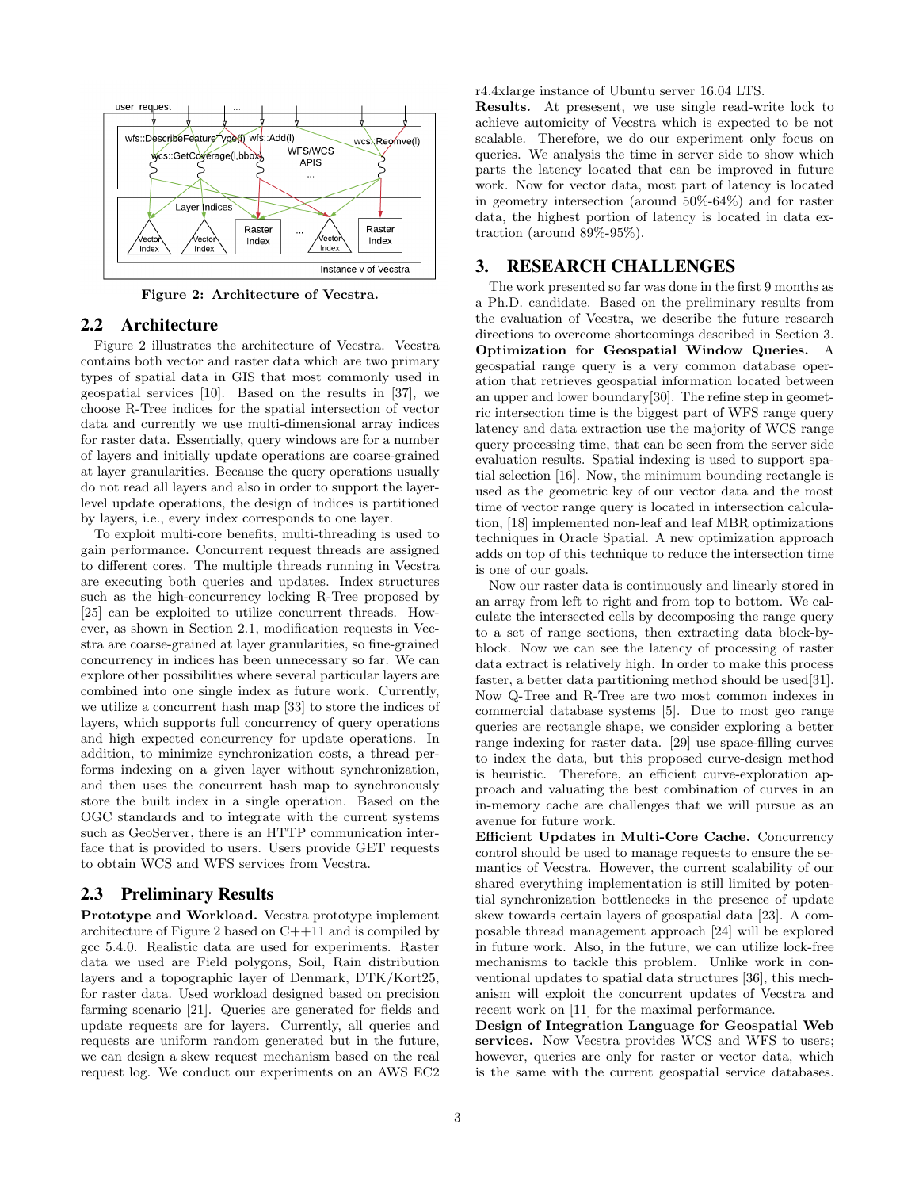

Figure 2: Architecture of Vecstra.

### 2.2 Architecture

Figure 2 illustrates the architecture of Vecstra. Vecstra contains both vector and raster data which are two primary types of spatial data in GIS that most commonly used in geospatial services [10]. Based on the results in [37], we choose R-Tree indices for the spatial intersection of vector data and currently we use multi-dimensional array indices for raster data. Essentially, query windows are for a number of layers and initially update operations are coarse-grained at layer granularities. Because the query operations usually do not read all layers and also in order to support the layerlevel update operations, the design of indices is partitioned by layers, i.e., every index corresponds to one layer.

To exploit multi-core benefits, multi-threading is used to gain performance. Concurrent request threads are assigned to different cores. The multiple threads running in Vecstra are executing both queries and updates. Index structures such as the high-concurrency locking R-Tree proposed by [25] can be exploited to utilize concurrent threads. However, as shown in Section 2.1, modification requests in Vecstra are coarse-grained at layer granularities, so fine-grained concurrency in indices has been unnecessary so far. We can explore other possibilities where several particular layers are combined into one single index as future work. Currently, we utilize a concurrent hash map [33] to store the indices of layers, which supports full concurrency of query operations and high expected concurrency for update operations. In addition, to minimize synchronization costs, a thread performs indexing on a given layer without synchronization, and then uses the concurrent hash map to synchronously store the built index in a single operation. Based on the OGC standards and to integrate with the current systems such as GeoServer, there is an HTTP communication interface that is provided to users. Users provide GET requests to obtain WCS and WFS services from Vecstra.

#### 2.3 Preliminary Results

Prototype and Workload. Vecstra prototype implement architecture of Figure 2 based on C++11 and is compiled by gcc 5.4.0. Realistic data are used for experiments. Raster data we used are Field polygons, Soil, Rain distribution layers and a topographic layer of Denmark, DTK/Kort25, for raster data. Used workload designed based on precision farming scenario [21]. Queries are generated for fields and update requests are for layers. Currently, all queries and requests are uniform random generated but in the future, we can design a skew request mechanism based on the real request log. We conduct our experiments on an AWS EC2 r4.4xlarge instance of Ubuntu server 16.04 LTS.

Results. At presesent, we use single read-write lock to achieve automicity of Vecstra which is expected to be not scalable. Therefore, we do our experiment only focus on queries. We analysis the time in server side to show which parts the latency located that can be improved in future work. Now for vector data, most part of latency is located in geometry intersection (around 50%-64%) and for raster data, the highest portion of latency is located in data extraction (around 89%-95%).

## 3. RESEARCH CHALLENGES

The work presented so far was done in the first 9 months as a Ph.D. candidate. Based on the preliminary results from the evaluation of Vecstra, we describe the future research directions to overcome shortcomings described in Section 3. Optimization for Geospatial Window Queries. A geospatial range query is a very common database operation that retrieves geospatial information located between an upper and lower boundary[30]. The refine step in geometric intersection time is the biggest part of WFS range query latency and data extraction use the majority of WCS range query processing time, that can be seen from the server side evaluation results. Spatial indexing is used to support spatial selection [16]. Now, the minimum bounding rectangle is used as the geometric key of our vector data and the most time of vector range query is located in intersection calculation, [18] implemented non-leaf and leaf MBR optimizations techniques in Oracle Spatial. A new optimization approach adds on top of this technique to reduce the intersection time is one of our goals.

Now our raster data is continuously and linearly stored in an array from left to right and from top to bottom. We calculate the intersected cells by decomposing the range query to a set of range sections, then extracting data block-byblock. Now we can see the latency of processing of raster data extract is relatively high. In order to make this process faster, a better data partitioning method should be used[31]. Now Q-Tree and R-Tree are two most common indexes in commercial database systems [5]. Due to most geo range queries are rectangle shape, we consider exploring a better range indexing for raster data. [29] use space-filling curves to index the data, but this proposed curve-design method is heuristic. Therefore, an efficient curve-exploration approach and valuating the best combination of curves in an in-memory cache are challenges that we will pursue as an avenue for future work.

Efficient Updates in Multi-Core Cache. Concurrency control should be used to manage requests to ensure the semantics of Vecstra. However, the current scalability of our shared everything implementation is still limited by potential synchronization bottlenecks in the presence of update skew towards certain layers of geospatial data [23]. A composable thread management approach [24] will be explored in future work. Also, in the future, we can utilize lock-free mechanisms to tackle this problem. Unlike work in conventional updates to spatial data structures [36], this mechanism will exploit the concurrent updates of Vecstra and recent work on [11] for the maximal performance.

Design of Integration Language for Geospatial Web services. Now Vecstra provides WCS and WFS to users; however, queries are only for raster or vector data, which is the same with the current geospatial service databases.